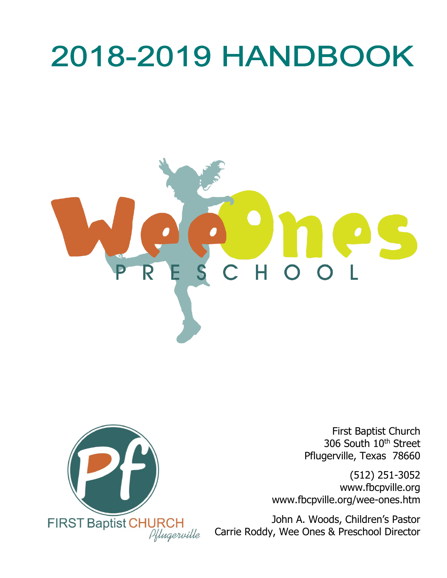# **2018-2019 HANDBOOK**





First Baptist Church 306 South 10<sup>th</sup> Street Pflugerville, Texas 78660

(512) 251-3052 www.fbcpville.org www.fbcpville.org/wee-ones.htm

John A. Woods, Children's Pastor Carrie Roddy, Wee Ones & Preschool Director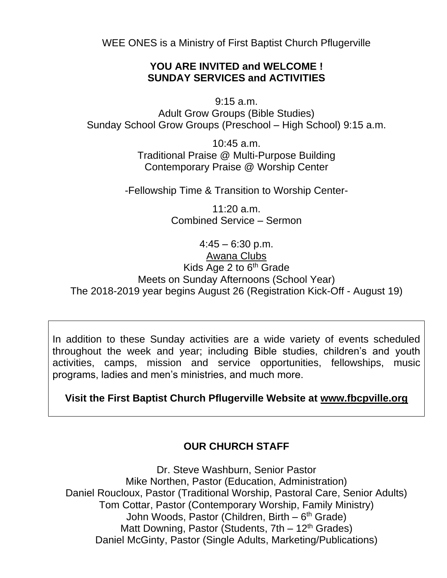WEE ONES is a Ministry of First Baptist Church Pflugerville

#### **YOU ARE INVITED and WELCOME ! SUNDAY SERVICES and ACTIVITIES**

9:15 a.m. Adult Grow Groups (Bible Studies) Sunday School Grow Groups (Preschool – High School) 9:15 a.m.

> 10:45 a.m. Traditional Praise @ Multi-Purpose Building Contemporary Praise @ Worship Center

-Fellowship Time & Transition to Worship Center-

11:20 a.m. Combined Service – Sermon

 $4:45 - 6:30 \text{ p.m.}$ Awana Clubs Kids Age 2 to  $6<sup>th</sup>$  Grade Meets on Sunday Afternoons (School Year) The 2018-2019 year begins August 26 (Registration Kick-Off - August 19)

In addition to these Sunday activities are a wide variety of events scheduled throughout the week and year; including Bible studies, children's and youth activities, camps, mission and service opportunities, fellowships, music programs, ladies and men's ministries, and much more.

#### **Visit the First Baptist Church Pflugerville Website at [www.fbcpville.org](http://www.fbcpville.org/)**

#### **OUR CHURCH STAFF**

Dr. Steve Washburn, Senior Pastor Mike Northen, Pastor (Education, Administration) Daniel Roucloux, Pastor (Traditional Worship, Pastoral Care, Senior Adults) Tom Cottar, Pastor (Contemporary Worship, Family Ministry) John Woods, Pastor (Children, Birth – 6<sup>th</sup> Grade) Matt Downing, Pastor (Students,  $7th - 12<sup>th</sup>$  Grades) Daniel McGinty, Pastor (Single Adults, Marketing/Publications)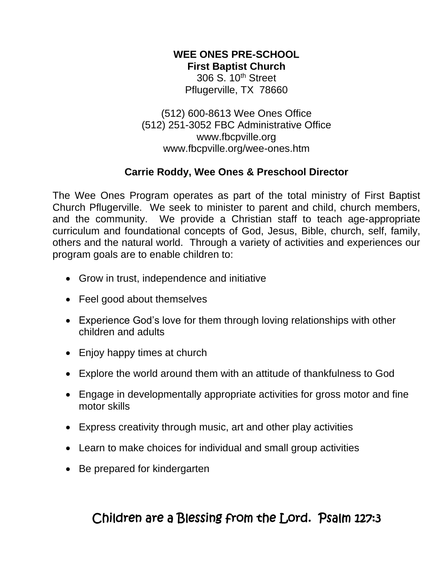# **WEE ONES PRE-SCHOOL**

**First Baptist Church** 306 S. 10<sup>th</sup> Street

Pflugerville, TX 78660

(512) 600-8613 Wee Ones Office (512) 251-3052 FBC Administrative Office www.fbcpville.org www.fbcpville.org/wee-ones.htm

## **Carrie Roddy, Wee Ones & Preschool Director**

The Wee Ones Program operates as part of the total ministry of First Baptist Church Pflugerville. We seek to minister to parent and child, church members, and the community. We provide a Christian staff to teach age-appropriate curriculum and foundational concepts of God, Jesus, Bible, church, self, family, others and the natural world. Through a variety of activities and experiences our program goals are to enable children to:

- Grow in trust, independence and initiative
- Feel good about themselves
- Experience God's love for them through loving relationships with other children and adults
- Enjoy happy times at church
- Explore the world around them with an attitude of thankfulness to God
- Engage in developmentally appropriate activities for gross motor and fine motor skills
- Express creativity through music, art and other play activities
- Learn to make choices for individual and small group activities
- Be prepared for kindergarten

# Children are a Blessing from the Lord. Psalm 127:3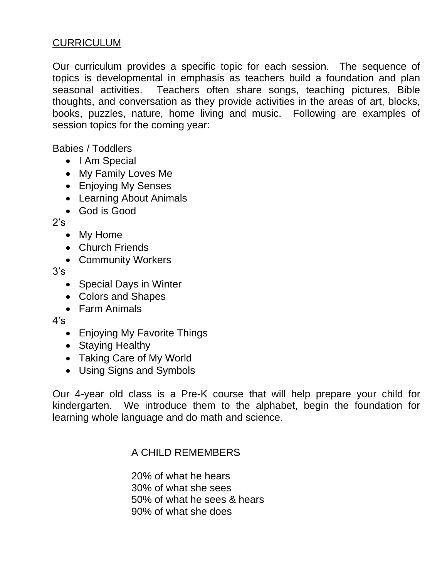#### CURRICULUM

Our curriculum provides a specific topic for each session. The sequence of topics is developmental in emphasis as teachers build a foundation and plan seasonal activities. Teachers often share songs, teaching pictures, Bible thoughts, and conversation as they provide activities in the areas of art, blocks, books, puzzles, nature, home living and music. Following are examples of session topics for the coming year:

Babies / Toddlers

- I Am Special
- My Family Loves Me
- Enjoying My Senses
- Learning About Animals
- God is Good

 $2's$ 

- My Home
- Church Friends
- Community Workers

3's

- Special Days in Winter
- Colors and Shapes
- Farm Animals

 $4's$ 

- Enjoying My Favorite Things
- Staying Healthy
- Taking Care of My World
- Using Signs and Symbols

Our 4-year old class is a Pre-K course that will help prepare your child for kindergarten. We introduce them to the alphabet, begin the foundation for learning whole language and do math and science.

#### A CHILD REMEMBERS

20% of what he hears 30% of what she sees 50% of what he sees & hears 90% of what she does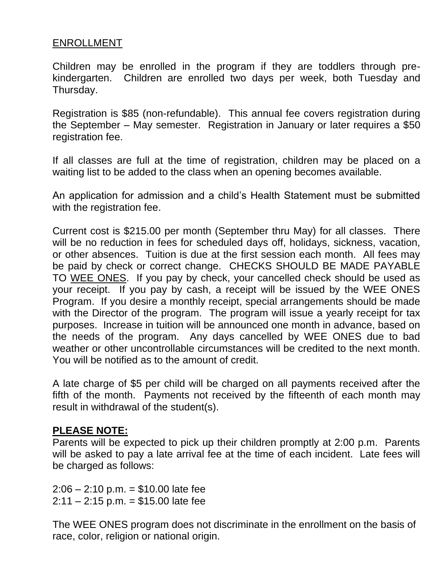#### ENROLLMENT

Children may be enrolled in the program if they are toddlers through prekindergarten. Children are enrolled two days per week, both Tuesday and Thursday.

Registration is \$85 (non-refundable). This annual fee covers registration during the September – May semester. Registration in January or later requires a \$50 registration fee.

If all classes are full at the time of registration, children may be placed on a waiting list to be added to the class when an opening becomes available.

An application for admission and a child's Health Statement must be submitted with the registration fee.

Current cost is \$215.00 per month (September thru May) for all classes. There will be no reduction in fees for scheduled days off, holidays, sickness, vacation, or other absences. Tuition is due at the first session each month. All fees may be paid by check or correct change. CHECKS SHOULD BE MADE PAYABLE TO WEE ONES. If you pay by check, your cancelled check should be used as your receipt. If you pay by cash, a receipt will be issued by the WEE ONES Program. If you desire a monthly receipt, special arrangements should be made with the Director of the program. The program will issue a yearly receipt for tax purposes. Increase in tuition will be announced one month in advance, based on the needs of the program. Any days cancelled by WEE ONES due to bad weather or other uncontrollable circumstances will be credited to the next month. You will be notified as to the amount of credit.

A late charge of \$5 per child will be charged on all payments received after the fifth of the month. Payments not received by the fifteenth of each month may result in withdrawal of the student(s).

#### **PLEASE NOTE:**

Parents will be expected to pick up their children promptly at 2:00 p.m. Parents will be asked to pay a late arrival fee at the time of each incident. Late fees will be charged as follows:

 $2:06 - 2:10$  p.m. = \$10.00 late fee  $2:11 - 2:15$  p.m. = \$15.00 late fee

The WEE ONES program does not discriminate in the enrollment on the basis of race, color, religion or national origin.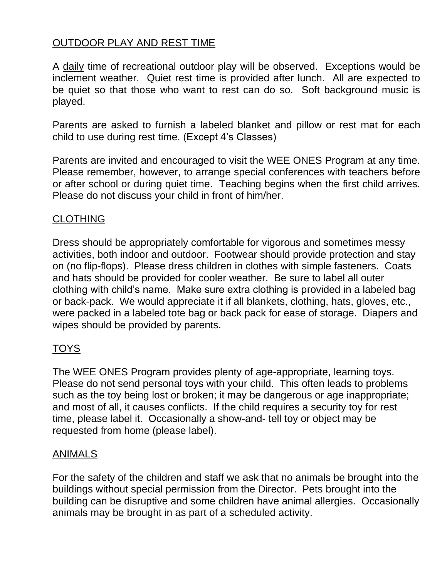# OUTDOOR PLAY AND REST TIME

A daily time of recreational outdoor play will be observed. Exceptions would be inclement weather. Quiet rest time is provided after lunch. All are expected to be quiet so that those who want to rest can do so. Soft background music is played.

Parents are asked to furnish a labeled blanket and pillow or rest mat for each child to use during rest time. (Except 4's Classes)

Parents are invited and encouraged to visit the WEE ONES Program at any time. Please remember, however, to arrange special conferences with teachers before or after school or during quiet time. Teaching begins when the first child arrives. Please do not discuss your child in front of him/her.

#### CLOTHING

Dress should be appropriately comfortable for vigorous and sometimes messy activities, both indoor and outdoor. Footwear should provide protection and stay on (no flip-flops). Please dress children in clothes with simple fasteners. Coats and hats should be provided for cooler weather. Be sure to label all outer clothing with child's name. Make sure extra clothing is provided in a labeled bag or back-pack. We would appreciate it if all blankets, clothing, hats, gloves, etc., were packed in a labeled tote bag or back pack for ease of storage. Diapers and wipes should be provided by parents.

# TOYS

The WEE ONES Program provides plenty of age-appropriate, learning toys. Please do not send personal toys with your child. This often leads to problems such as the toy being lost or broken; it may be dangerous or age inappropriate; and most of all, it causes conflicts. If the child requires a security toy for rest time, please label it. Occasionally a show-and- tell toy or object may be requested from home (please label).

#### ANIMALS

For the safety of the children and staff we ask that no animals be brought into the buildings without special permission from the Director. Pets brought into the building can be disruptive and some children have animal allergies. Occasionally animals may be brought in as part of a scheduled activity.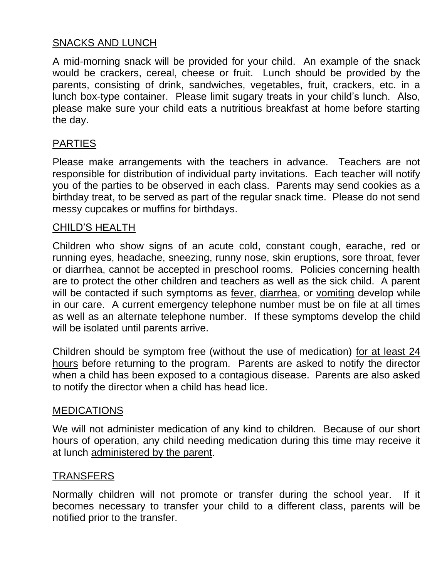#### SNACKS AND LUNCH

A mid-morning snack will be provided for your child. An example of the snack would be crackers, cereal, cheese or fruit. Lunch should be provided by the parents, consisting of drink, sandwiches, vegetables, fruit, crackers, etc. in a lunch box-type container. Please limit sugary treats in your child's lunch. Also, please make sure your child eats a nutritious breakfast at home before starting the day.

#### PARTIES

Please make arrangements with the teachers in advance. Teachers are not responsible for distribution of individual party invitations. Each teacher will notify you of the parties to be observed in each class. Parents may send cookies as a birthday treat, to be served as part of the regular snack time. Please do not send messy cupcakes or muffins for birthdays.

#### CHILD'S HEALTH

Children who show signs of an acute cold, constant cough, earache, red or running eyes, headache, sneezing, runny nose, skin eruptions, sore throat, fever or diarrhea, cannot be accepted in preschool rooms. Policies concerning health are to protect the other children and teachers as well as the sick child. A parent will be contacted if such symptoms as fever, diarrhea, or vomiting develop while in our care. A current emergency telephone number must be on file at all times as well as an alternate telephone number. If these symptoms develop the child will be isolated until parents arrive.

Children should be symptom free (without the use of medication) for at least 24 hours before returning to the program. Parents are asked to notify the director when a child has been exposed to a contagious disease. Parents are also asked to notify the director when a child has head lice.

#### MEDICATIONS

We will not administer medication of any kind to children. Because of our short hours of operation, any child needing medication during this time may receive it at lunch administered by the parent.

#### TRANSFERS

Normally children will not promote or transfer during the school year. If it becomes necessary to transfer your child to a different class, parents will be notified prior to the transfer.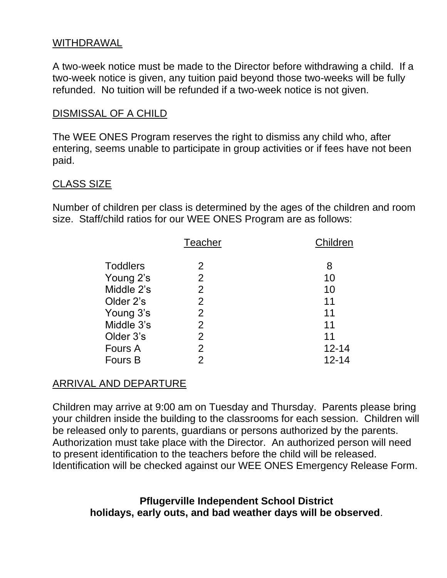#### WITHDRAWAL

A two-week notice must be made to the Director before withdrawing a child. If a two-week notice is given, any tuition paid beyond those two-weeks will be fully refunded. No tuition will be refunded if a two-week notice is not given.

#### DISMISSAL OF A CHILD

The WEE ONES Program reserves the right to dismiss any child who, after entering, seems unable to participate in group activities or if fees have not been paid.

#### CLASS SIZE

Number of children per class is determined by the ages of the children and room size. Staff/child ratios for our WEE ONES Program are as follows:

|                 | <b>Teacher</b> | Children  |
|-----------------|----------------|-----------|
| <b>Toddlers</b> | 2              | 8         |
| Young 2's       | 2              | 10        |
| Middle 2's      | $\overline{2}$ | 10        |
| Older 2's       | $\overline{2}$ | 11        |
| Young 3's       | 2              | 11        |
| Middle 3's      | $\overline{2}$ | 11        |
| Older 3's       | 2              | 11        |
| Fours A         | $\overline{2}$ | $12 - 14$ |
| <b>Fours B</b>  | 2              | $12 - 14$ |

#### ARRIVAL AND DEPARTURE

Children may arrive at 9:00 am on Tuesday and Thursday. Parents please bring your children inside the building to the classrooms for each session. Children will be released only to parents, guardians or persons authorized by the parents. Authorization must take place with the Director. An authorized person will need to present identification to the teachers before the child will be released. Identification will be checked against our WEE ONES Emergency Release Form.

#### **Pflugerville Independent School District holidays, early outs, and bad weather days will be observed**.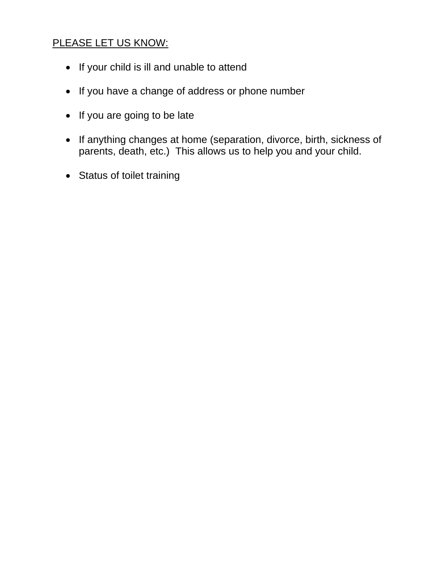## PLEASE LET US KNOW:

- If your child is ill and unable to attend
- If you have a change of address or phone number
- If you are going to be late
- If anything changes at home (separation, divorce, birth, sickness of parents, death, etc.) This allows us to help you and your child.
- Status of toilet training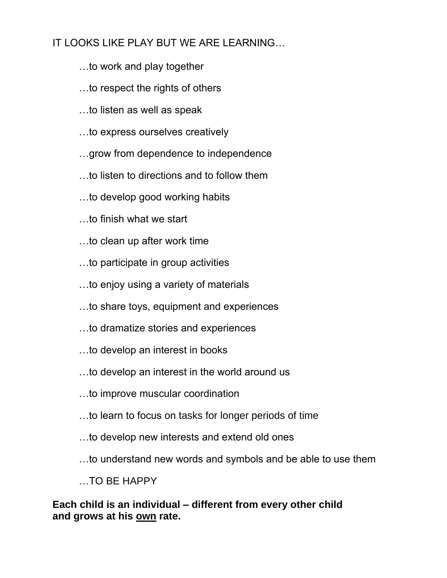# IT LOOKS LIKE PLAY BUT WE ARE LEARNING…

- …to work and play together
- …to respect the rights of others
- …to listen as well as speak
- …to express ourselves creatively
- …grow from dependence to independence
- …to listen to directions and to follow them
- …to develop good working habits
- …to finish what we start
- …to clean up after work time
- …to participate in group activities
- …to enjoy using a variety of materials
- …to share toys, equipment and experiences
- …to dramatize stories and experiences
- …to develop an interest in books
- …to develop an interest in the world around us
- …to improve muscular coordination
- …to learn to focus on tasks for longer periods of time
- …to develop new interests and extend old ones
- …to understand new words and symbols and be able to use them

…TO BE HAPPY

**Each child is an individual – different from every other child and grows at his own rate.**